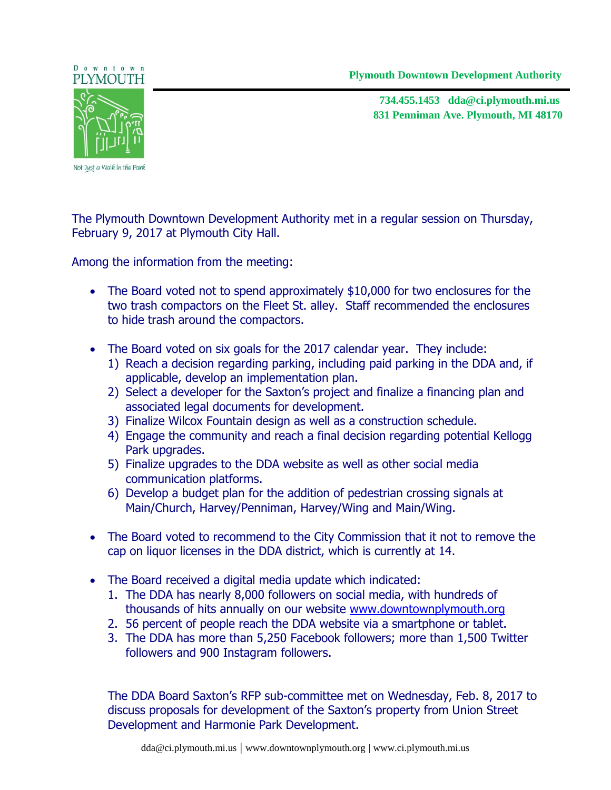**Plymouth Downtown Development Authority** 



**831 Penniman Ave. Plymouth, MI 48170 734.455.1453 dda@ci.plymouth.mi.us**



Not Just a Walk in the Park

The Plymouth Downtown Development Authority met in a regular session on Thursday, February 9, 2017 at Plymouth City Hall.

Among the information from the meeting:

- The Board voted not to spend approximately \$10,000 for two enclosures for the two trash compactors on the Fleet St. alley. Staff recommended the enclosures to hide trash around the compactors.
- The Board voted on six goals for the 2017 calendar year. They include:
	- 1) Reach a decision regarding parking, including paid parking in the DDA and, if applicable, develop an implementation plan.
	- 2) Select a developer for the Saxton's project and finalize a financing plan and associated legal documents for development.
	- 3) Finalize Wilcox Fountain design as well as a construction schedule.
	- 4) Engage the community and reach a final decision regarding potential Kellogg Park upgrades.
	- 5) Finalize upgrades to the DDA website as well as other social media communication platforms.
	- 6) Develop a budget plan for the addition of pedestrian crossing signals at Main/Church, Harvey/Penniman, Harvey/Wing and Main/Wing.
- The Board voted to recommend to the City Commission that it not to remove the cap on liquor licenses in the DDA district, which is currently at 14.
- The Board received a digital media update which indicated:
	- 1. The DDA has nearly 8,000 followers on social media, with hundreds of thousands of hits annually on our website [www.downtownplymouth.org](http://www.downtownplymouth.org/)
	- 2. 56 percent of people reach the DDA website via a smartphone or tablet.
	- 3. The DDA has more than 5,250 Facebook followers; more than 1,500 Twitter followers and 900 Instagram followers.

The DDA Board Saxton's RFP sub-committee met on Wednesday, Feb. 8, 2017 to discuss proposals for development of the Saxton's property from Union Street Development and Harmonie Park Development.